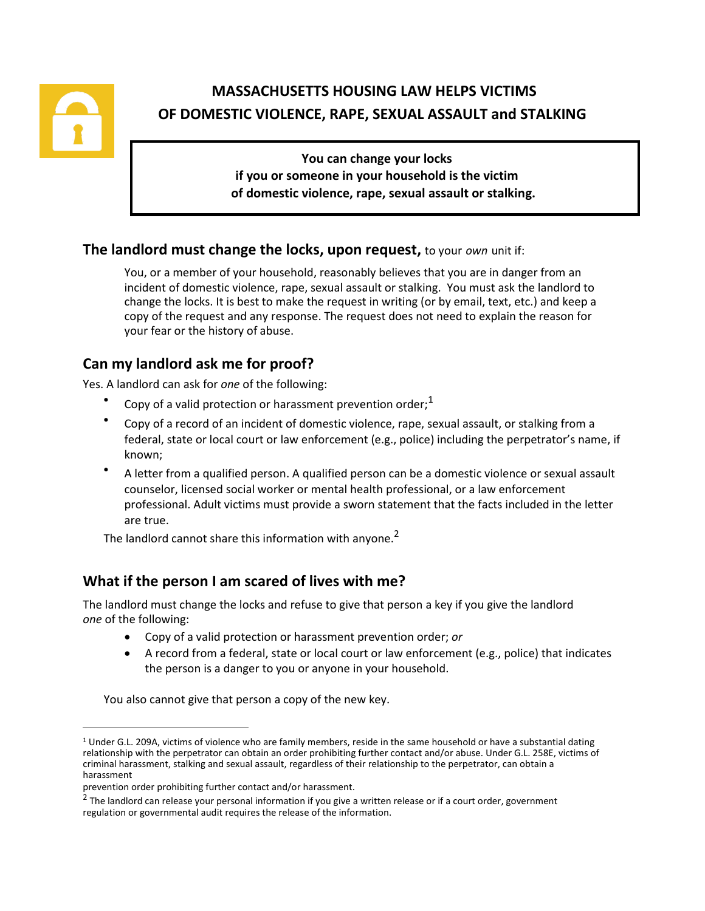

# **MASSACHUSETTS HOUSING LAW HELPS VICTIMS OF DOMESTIC VIOLENCE, RAPE, SEXUAL ASSAULT and STALKING**

**You can change your locks if you or someone in your household is the victim of domestic violence, rape, sexual assault or stalking.**

### **The landlord must change the locks, upon request,** to your *own* unit if:

You, or a member of your household, reasonably believes that you are in danger from an incident of domestic violence, rape, sexual assault or stalking. You must ask the landlord to change the locks. It is best to make the request in writing (or by email, text, etc.) and keep a copy of the request and any response. The request does not need to explain the reason for your fear or the history of abuse.

# **Can my landlord ask me for proof?**

Yes. A landlord can ask for *one* of the following:

- Copy of a valid protection or harassment prevention order; $<sup>1</sup>$ </sup>
- Copy of a record of an incident of domestic violence, rape, sexual assault, or stalking from a federal, state or local court or law enforcement (e.g., police) including the perpetrator's name, if known;
- A letter from a qualified person. A qualified person can be a domestic violence or sexual assault counselor, licensed social worker or mental health professional, or a law enforcement professional. Adult victims must provide a sworn statement that the facts included in the letter are true.

The landlord cannot share this information with anyone.<sup>2</sup>

# **What if the person I am scared of lives with me?**

The landlord must change the locks and refuse to give that person a key if you give the landlord *one* of the following:

- Copy of a valid protection or harassment prevention order; *or*
- A record from a federal, state or local court or law enforcement (e.g., police) that indicates the person is a danger to you or anyone in your household.

You also cannot give that person a copy of the new key.

 $1$  Under G.L. 209A, victims of violence who are family members, reside in the same household or have a substantial dating relationship with the perpetrator can obtain an order prohibiting further contact and/or abuse. Under G.L. 258E, victims of criminal harassment, stalking and sexual assault, regardless of their relationship to the perpetrator, can obtain a harassment

prevention order prohibiting further contact and/or harassment.

 $^2$  The landlord can release your personal information if you give a written release or if a court order, government regulation or governmental audit requires the release of the information.